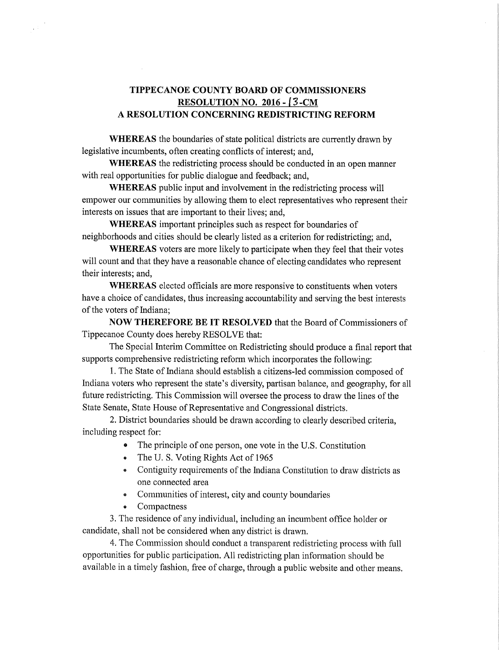## TIPPECANOE COUNTY BOARD OF COMMISSIONERS TIPPECANOECOUNTYBOARDOFCOMMISSIONERSRESOLUTION NO. 2016 - I 3 -CM RESOLUTIONNO.2016-I3-CMA RESOLUTION CONCERNING REDISTRICTING REFORM

WHEREAS the boundaries of state political districts are currently drawn by legislative incumbents, often creating conflicts of interest; and,

WHEREAS the redistricting process should be conducted in an open manner with real opportunities for public dialogue and feedback; and,

WHEREAS public input and involvement in the redistricting process will empower our communities by allowing them to elect representatives who represent their interests on issues that are important to their lives; and, interestsonissuesthatareimportanttotheirlives;and,

WHEREAS important principles such as respect for boundaries of neighborhoods and cities should be clearly listed as a criterion for redistricting; and,

WHEREAS voters are more likely to participate when they feel that their votes will count and that they have a reasonable chance of electing candidates who represent their interests; and,

WHEREAS elected officials are more responsive to constituents when voters have a choice of candidates, thus increasing accountability and serving the best interests of the voters of Indiana;

NOW THEREFORE BE IT RESOLVED that the Board of Commissioners of Tippecanoe County does hereby RESOLVE that:

The Special Interim Committee on Redistricting should produce a final report that supports comprehensive redistricting reform which incorporates the following:

1. The State of Indiana should establish a citizens-led commission composed of Indiana voters who represent the state's diversity, partisan balance, and geography, for all future redistricting. This Commission will oversee the process to draw the lines of the State Senate, State House of Representative and Congressional districts.

2. District boundaries should be drawn according to clearly described criteria, including respect for:

- The principle of one person, one vote in the U.S. Constitution
- The U.S. Voting Rights Act of 1965
- Contiguity requirements of the Indiana Constitution to draw districts as one connected area oneconnectedarea
- Communities of interest, city and county boundaries
- Compactness

3. The residence of any individual, including an incumbent office holder or candidate, shall not be considered when any district is drawn.

4. The Commission should conduct a transparent redistricting process with full opportunities for public participation. All redistricting plan information should be available in a timely fashion, free of charge, through a public website and other means.